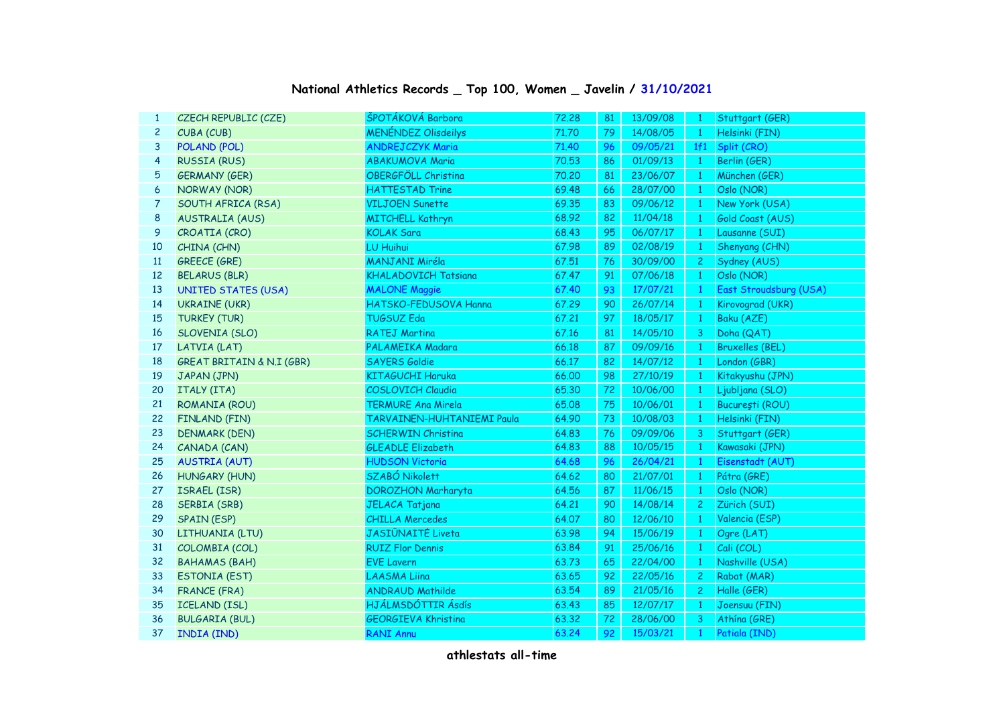| National Athletics Records _ Top 100, Women _ Javelin / 31/10/2021 |  |  |  |  |  |
|--------------------------------------------------------------------|--|--|--|--|--|
|--------------------------------------------------------------------|--|--|--|--|--|

| 1            | CZECH REPUBLIC (CZE)                 | ŠPOTÁKOVÁ Barbora           | 72,28 | 81 | 13/09/08 | $\mathbf{1}$   | Stuttgart (GER)        |
|--------------|--------------------------------------|-----------------------------|-------|----|----------|----------------|------------------------|
| $\mathbf{2}$ | CUBA (CUB)                           | <b>MENÉNDEZ Olisdeilys</b>  | 71.70 | 79 | 14/08/05 | $\overline{1}$ | Helsinki (FIN)         |
| 3            | POLAND (POL)                         | <b>ANDREJCZYK Maria</b>     | 71.40 | 96 | 09/05/21 | 1f1            | Split (CRO)            |
| 4            | <b>RUSSIA (RUS)</b>                  | <b>ABAKUMOVA Maria</b>      | 70.53 | 86 | 01/09/13 | $\overline{1}$ | Berlin (GER)           |
| 5            | <b>GERMANY (GER)</b>                 | OBERGFÖLL Christina         | 70.20 | 81 | 23/06/07 | $\mathbf{1}$   | München (GER)          |
| 6            | NORWAY (NOR)                         | <b>HATTESTAD Trine</b>      | 69.48 | 66 | 28/07/00 | $\mathbf{1}$   | Oslo (NOR)             |
| 7            | SOUTH AFRICA (RSA)                   | <b>VILJOEN Sunette</b>      | 69.35 | 83 | 09/06/12 | $\mathbf{1}$   | New York (USA)         |
| 8            | <b>AUSTRALIA (AUS)</b>               | <b>MITCHELL Kathryn</b>     | 68.92 | 82 | 11/04/18 | $\mathbf{1}$   | Gold Coast (AUS)       |
| 9            | CROATIA (CRO)                        | <b>KOLAK Sara</b>           | 68.43 | 95 | 06/07/17 | $\overline{1}$ | Lausanne (SUI)         |
| 10           | CHINA (CHN)                          | LU Huihui                   | 67.98 | 89 | 02/08/19 | $\mathbf{1}$   | Shenyang (CHN)         |
| 11           | <b>GREECE (GRE)</b>                  | <b>MANJANI Miréla</b>       | 67.51 | 76 | 30/09/00 | $\mathbf{2}$   | Sydney (AUS)           |
| 12           | <b>BELARUS (BLR)</b>                 | <b>KHALADOVICH Tatsiana</b> | 67.47 | 91 | 07/06/18 | $\mathbf{1}$   | Oslo (NOR)             |
| 13           | <b>UNITED STATES (USA)</b>           | <b>MALONE Maggie</b>        | 67.40 | 93 | 17/07/21 | $\mathbf{1}$   | East Stroudsburg (USA) |
| 14           | <b>UKRAINE (UKR)</b>                 | HATSKO-FEDUSOVA Hanna       | 67.29 | 90 | 26/07/14 | $\mathbf{1}$   | Kirovograd (UKR)       |
| 15           | <b>TURKEY (TUR)</b>                  | <b>TUGSUZ Eda</b>           | 67.21 | 97 | 18/05/17 | $\mathbf{1}$   | Baku (AZE)             |
| 16           | SLOVENIA (SLO)                       | <b>RATEJ Martina</b>        | 67.16 | 81 | 14/05/10 | 3              | Doha (QAT)             |
| 17           | LATVIA (LAT)                         | PALAMEIKA Madara            | 66.18 | 87 | 09/09/16 | $\mathbf{1}$   | <b>Bruxelles (BEL)</b> |
| 18           | <b>GREAT BRITAIN &amp; N.I (GBR)</b> | <b>SAYERS Goldie</b>        | 66.17 | 82 | 14/07/12 | $\mathbf{1}$   | London (GBR)           |
| 19           | JAPAN (JPN)                          | <b>KITAGUCHI Haruka</b>     | 66,00 | 98 | 27/10/19 | $\mathbf{1}$   | Kitakyushu (JPN)       |
| 20           | ITALY (ITA)                          | COSLOVICH Claudia           | 65.30 | 72 | 10/06/00 | $\mathbf{1}$   | Ljubljana (SLO)        |
| 21           | ROMANIA (ROU)                        | <b>TERMURE Ana Mirela</b>   | 65.08 | 75 | 10/06/01 | $\bullet$      | București (ROU)        |
| 22           | FINLAND (FIN)                        | TARVAINEN-HUHTANIEMI Paula  | 64.90 | 73 | 10/08/03 | $\mathbf{1}$   | Helsinki (FIN)         |
| 23           | <b>DENMARK (DEN)</b>                 | <b>SCHERWIN Christina</b>   | 64.83 | 76 | 09/09/06 | 3              | Stuttgart (GER)        |
| 24           | CANADA (CAN)                         | <b>GLEADLE Elizabeth</b>    | 64.83 | 88 | 10/05/15 | $\mathbf{1}$   | Kawasaki (JPN)         |
| 25           | <b>AUSTRIA (AUT)</b>                 | <b>HUDSON Victoria</b>      | 64.68 | 96 | 26/04/21 | $\mathbf{1}$   | Eisenstadt (AUT)       |
| 26           | <b>HUNGARY (HUN)</b>                 | SZABÓ Nikolett              | 64.62 | 80 | 21/07/01 | $\mathbf{1}$   | Pátra (GRE)            |
| 27           | ISRAEL (ISR)                         | <b>DOROZHON Marharyta</b>   | 64.56 | 87 | 11/06/15 | $\overline{1}$ | Oslo (NOR)             |
| 28           | <b>SERBIA (SRB)</b>                  | <b>JELACA Tatjana</b>       | 64.21 | 90 | 14/08/14 | $\mathbf{2}$   | Zürich (SUI)           |
| 29           | <b>SPAIN (ESP)</b>                   | <b>CHILLA Mercedes</b>      | 64.07 | 80 | 12/06/10 | $\mathbf{1}$   | Valencia (ESP)         |
| 30           | LITHUANIA (LTU)                      | <b>JASIŪNAITĖ Liveta</b>    | 63.98 | 94 | 15/06/19 | $\overline{1}$ | Ogre (LAT)             |
| 31           | COLOMBIA (COL)                       | <b>RUIZ Flor Dennis</b>     | 63.84 | 91 | 25/06/16 | $\overline{1}$ | Cali (COL)             |
| 32           | <b>BAHAMAS (BAH)</b>                 | <b>EVE Lavern</b>           | 63.73 | 65 | 22/04/00 | $\overline{1}$ | Nashville (USA)        |
| 33           | <b>ESTONIA (EST)</b>                 | <b>LAASMA Liina</b>         | 63.65 | 92 | 22/05/16 | $\mathbf{2}$   | Rabat (MAR)            |
| 34           | <b>FRANCE (FRA)</b>                  | <b>ANDRAUD Mathilde</b>     | 63.54 | 89 | 21/05/16 | 2 <sub>1</sub> | Halle (GER)            |
| 35           | <b>ICELAND (ISL)</b>                 | HJÁLMSDÓTTIR Ásdís          | 63.43 | 85 | 12/07/17 | $\overline{1}$ | Joensuu (FIN)          |
| 36           | <b>BULGARIA (BUL)</b>                | <b>GEORGIEVA Khristina</b>  | 63.32 | 72 | 28/06/00 | $\overline{3}$ | Athína (GRE)           |
| 37           | <b>INDIA (IND)</b>                   | <b>RANI Annu</b>            | 63.24 | 92 | 15/03/21 | $\mathbf{1}$   | Patiala (IND)          |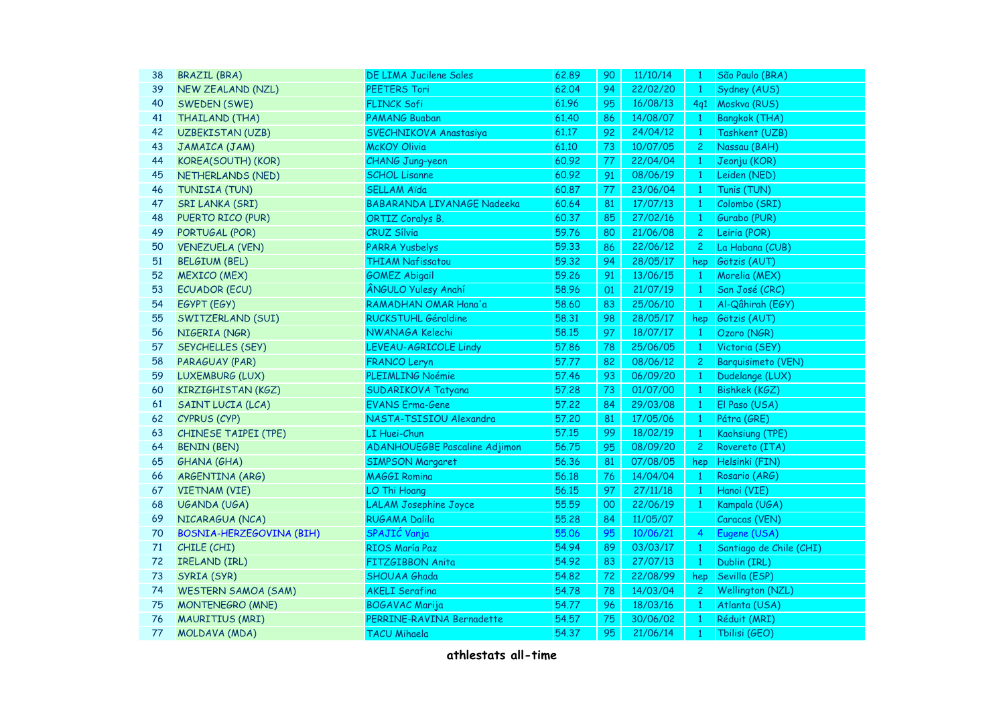| 38 | <b>BRAZIL (BRA)</b>        | DE LIMA Jucilene Sales               | 62.89 | 90     | 11/10/14 | $\mathbf{1}$    | São Paulo (BRA)           |
|----|----------------------------|--------------------------------------|-------|--------|----------|-----------------|---------------------------|
| 39 | <b>NEW ZEALAND (NZL)</b>   | PEETERS Tori                         | 62.04 | 94     | 22/02/20 | $\mathbf{1}$    | Sydney (AUS)              |
| 40 | SWEDEN (SWE)               | <b>FLINCK Sofi</b>                   | 61.96 | 95     | 16/08/13 | 4q1             | Moskva (RUS)              |
| 41 | THAILAND (THA)             | <b>PAMANG Buaban</b>                 | 61.40 | 86     | 14/08/07 | $\mathbf{1}$    | <b>Bangkok (THA)</b>      |
| 42 | <b>UZBEKISTAN (UZB)</b>    | SVECHNIKOVA Anastasiya               | 61.17 | 92     | 24/04/12 | $\mathbf{1}$    | Tashkent (UZB)            |
| 43 | JAMAICA (JAM)              | <b>McKOY Olivia</b>                  | 61.10 | 73     | 10/07/05 | $\mathbf{2}$    | Nassau (BAH)              |
| 44 | KOREA(SOUTH) (KOR)         | <b>CHANG Jung-yeon</b>               | 60.92 | 77     | 22/04/04 | $\mathbf{1}$    | Jeonju (KOR)              |
| 45 | NETHERLANDS (NED)          | <b>SCHOL Lisanne</b>                 | 60.92 | 91     | 08/06/19 | $\vert 1 \vert$ | Leiden (NED)              |
| 46 | TUNISIA (TUN)              | <b>SELLAM Aïda</b>                   | 60.87 | 77     | 23/06/04 | $\mathbf{1}$    | Tunis (TUN)               |
| 47 | <b>SRI LANKA (SRI)</b>     | BABARANDA LIYANAGE Nadeeka           | 60.64 | 81     | 17/07/13 | $\mathbf{1}$    | Colombo (SRI)             |
| 48 | PUERTO RICO (PUR)          | <b>ORTIZ Coralys B.</b>              | 60.37 | 85     | 27/02/16 | $\mathbf{1}$    | Gurabo (PUR)              |
| 49 | PORTUGAL (POR)             | <b>CRUZ Sílvia</b>                   | 59.76 | 80     | 21/06/08 | $\mathbf{2}$    | Leiria (POR)              |
| 50 | <b>VENEZUELA (VEN)</b>     | <b>PARRA Yusbelys</b>                | 59.33 | 86     | 22/06/12 | $\mathbf{2}$    | La Habana (CUB)           |
| 51 | <b>BELGIUM (BEL)</b>       | <b>THIAM Nafissatou</b>              | 59.32 | 94     | 28/05/17 | hep             | Götzis (AUT)              |
| 52 | <b>MEXICO (MEX)</b>        | <b>GOMEZ Abigail</b>                 | 59.26 | 91     | 13/06/15 | $\mathbf{1}$    | Morelia (MEX)             |
| 53 | <b>ECUADOR (ECU)</b>       | <b>ÂNGULO Yulesy Anahí</b>           | 58.96 | O1     | 21/07/19 | $\mathbf{1}$    | San José (CRC)            |
| 54 | EGYPT (EGY)                | RAMADHAN OMAR Hana'a                 | 58.60 | 83     | 25/06/10 | $\overline{1}$  | Al-Qâhirah (EGY)          |
| 55 | SWITZERLAND (SUI)          | RUCKSTUHL Géraldine                  | 58.31 | 98     | 28/05/17 | hep             | Götzis (AUT)              |
| 56 | NIGERIA (NGR)              | NWANAGA Kelechi                      | 58.15 | 97     | 18/07/17 | $\mathbf{1}$    | Ozoro (NGR)               |
| 57 | SEYCHELLES (SEY)           | LEVEAU-AGRICOLE Lindy                | 57.86 | 78     | 25/06/05 | $\mathbf{1}$    | Victoria (SEY)            |
| 58 | PARAGUAY (PAR)             | <b>FRANCO Leryn</b>                  | 57.77 | 82     | 08/06/12 | $\mathbf{2}$    | <b>Barquisimeto (VEN)</b> |
| 59 | LUXEMBURG (LUX)            | PLEIMLING Noémie                     | 57.46 | 93     | 06/09/20 | $\mathbf{1}$    | Dudelange (LUX)           |
| 60 | KIRZIGHISTAN (KGZ)         | SUDARIKOVA Tatyana                   | 57.28 | 73     | 01/07/00 | $\mathbf{1}$    | <b>Bishkek (KGZ)</b>      |
| 61 | SAINT LUCIA (LCA)          | <b>EVANS Erma-Gene</b>               | 57.22 | 84     | 29/03/08 | $\mathbf{1}$    | El Paso (USA)             |
| 62 | CYPRUS (CYP)               | NASTA-TSISIOU Alexandra              | 57.20 | 81     | 17/05/06 | $\mathbf{1}$    | Pátra (GRE)               |
| 63 | CHINESE TAIPEI (TPE)       | LI Huei-Chun                         | 57.15 | 99     | 18/02/19 | $\mathbf{1}$    | Kaohsiung (TPE)           |
| 64 | <b>BENIN (BEN)</b>         | <b>ADANHOUEGBE Pascaline Adjimon</b> | 56.75 | 95     | 08/09/20 | 2 <sup>1</sup>  | Rovereto (ITA)            |
| 65 | <b>GHANA (GHA)</b>         | <b>SIMPSON Margaret</b>              | 56.36 | 81     | 07/08/05 | hep             | Helsinki (FIN)            |
| 66 | ARGENTINA (ARG)            | <b>MAGGI Romina</b>                  | 56.18 | 76     | 14/04/04 | $\mathbf{1}$    | Rosario (ARG)             |
| 67 | <b>VIETNAM (VIE)</b>       | LO Thi Hoang                         | 56.15 | 97     | 27/11/18 | $\bullet$       | Hanoi (VIE)               |
| 68 | UGANDA (UGA)               | <b>LALAM Josephine Joyce</b>         | 55.59 | $00\,$ | 22/06/19 | $\mathbf{1}$    | Kampala (UGA)             |
| 69 | NICARAGUA (NCA)            | <b>RUGAMA Dalila</b>                 | 55.28 | 84     | 11/05/07 |                 | Caracas (VEN)             |
| 70 | BOSNIA-HERZEGOVINA (BIH)   | SPAJIĆ Vanja                         | 55.06 | 95     | 10/06/21 | $\overline{4}$  | Eugene (USA)              |
| 71 | CHILE (CHI)                | RIOS María Paz                       | 54.94 | 89     | 03/03/17 | $\mathbf{1}$    | Santiago de Chile (CHI)   |
| 72 | IRELAND (IRL)              | FITZGIBBON Anita                     | 54.92 | 83     | 27/07/13 | $\mathbf{1}$    | Dublin (IRL)              |
| 73 | SYRIA (SYR)                | <b>SHOUAA Ghada</b>                  | 54.82 | 72     | 22/08/99 | hep             | Sevilla (ESP)             |
| 74 | <b>WESTERN SAMOA (SAM)</b> | <b>AKELI Serafina</b>                | 54.78 | 78     | 14/03/04 | $\overline{2}$  | <b>Wellington (NZL)</b>   |
| 75 | <b>MONTENEGRO (MNE)</b>    | <b>BOGAVAC Marija</b>                | 54.77 | 96     | 18/03/16 | $\mathbf{1}$    | Atlanta (USA)             |
| 76 | <b>MAURITIUS (MRI)</b>     | PERRINE-RAVINA Bernadette            | 54.57 | 75     | 30/06/02 | $\mathbf{1}$    | Réduit (MRI)              |
| 77 | MOLDAVA (MDA)              | <b>TACU Mihaela</b>                  | 54.37 | 95     | 21/06/14 | $\mathbf{1}$    | Tbilisi (GEO)             |